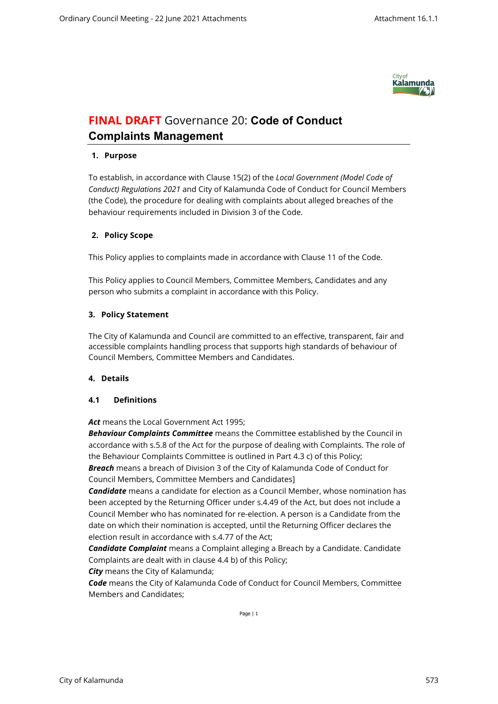

# **FINAL DRAFT** Governance 20: **Code of Conduct Complaints Management**

# **1. Purpose**

To establish, in accordance with Clause 15(2) of the *Local Government (Model Code of Conduct) Regulations 2021* and City of Kalamunda Code of Conduct for Council Members (the Code), the procedure for dealing with complaints about alleged breaches of the behaviour requirements included in Division 3 of the Code.

# **2. Policy Scope**

This Policy applies to complaints made in accordance with Clause 11 of the Code.

This Policy applies to Council Members, Committee Members, Candidates and any person who submits a complaint in accordance with this Policy.

# **3. Policy Statement**

The City of Kalamunda and Council are committed to an effective, transparent, fair and accessible complaints handling process that supports high standards of behaviour of Council Members, Committee Members and Candidates.

## **4. Details**

## **4.1 Definitions**

*Act* means the Local Government Act 1995;

*Behaviour Complaints Committee* means the Committee established by the Council in accordance with s.5.8 of the Act for the purpose of dealing with Complaints. The role of the Behaviour Complaints Committee is outlined in Part 4.3 c) of this Policy; *Breach* means a breach of Division 3 of the City of Kalamunda Code of Conduct for Council Members, Committee Members and Candidates]

*Candidate* means a candidate for election as a Council Member, whose nomination has been accepted by the Returning Officer under s.4.49 of the Act, but does not include a Council Member who has nominated for re-election. A person is a Candidate from the date on which their nomination is accepted, until the Returning Officer declares the election result in accordance with s.4.77 of the Act;

*Candidate Complaint* means a Complaint alleging a Breach by a Candidate. Candidate Complaints are dealt with in clause 4.4 b) of this Policy;

*City* means the City of Kalamunda;

*Code* means the City of Kalamunda Code of Conduct for Council Members, Committee Members and Candidates;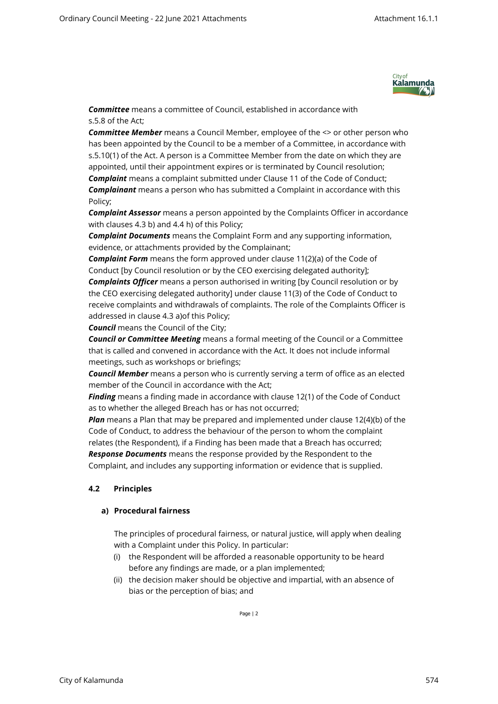

*Committee* means a committee of Council, established in accordance with s.5.8 of the Act;

*Committee Member* means a Council Member, employee of the <> or other person who has been appointed by the Council to be a member of a Committee, in accordance with s.5.10(1) of the Act. A person is a Committee Member from the date on which they are appointed, until their appointment expires or is terminated by Council resolution; *Complaint* means a complaint submitted under Clause 11 of the Code of Conduct; *Complainant* means a person who has submitted a Complaint in accordance with this Policy;

*Complaint Assessor* means a person appointed by the Complaints Officer in accordance with clauses 4.3 b) and 4.4 h) of this Policy;

*Complaint Documents* means the Complaint Form and any supporting information, evidence, or attachments provided by the Complainant;

*Complaint Form* means the form approved under clause 11(2)(a) of the Code of Conduct [by Council resolution or by the CEO exercising delegated authority]; *Complaints Officer* means a person authorised in writing [by Council resolution or by the CEO exercising delegated authority] under clause 11(3) of the Code of Conduct to receive complaints and withdrawals of complaints. The role of the Complaints Officer is addressed in clause 4.3 a)of this Policy;

*Council* means the Council of the City;

*Council or Committee Meeting* means a formal meeting of the Council or a Committee that is called and convened in accordance with the Act. It does not include informal meetings, such as workshops or briefings;

*Council Member* means a person who is currently serving a term of office as an elected member of the Council in accordance with the Act;

*Finding* means a finding made in accordance with clause 12(1) of the Code of Conduct as to whether the alleged Breach has or has not occurred;

*Plan* means a Plan that may be prepared and implemented under clause 12(4)(b) of the Code of Conduct, to address the behaviour of the person to whom the complaint relates (the Respondent), if a Finding has been made that a Breach has occurred; *Response Documents* means the response provided by the Respondent to the

Complaint, and includes any supporting information or evidence that is supplied.

## **4.2 Principles**

## **a) Procedural fairness**

The principles of procedural fairness, or natural justice, will apply when dealing with a Complaint under this Policy. In particular:

- (i) the Respondent will be afforded a reasonable opportunity to be heard before any findings are made, or a plan implemented;
- (ii) the decision maker should be objective and impartial, with an absence of bias or the perception of bias; and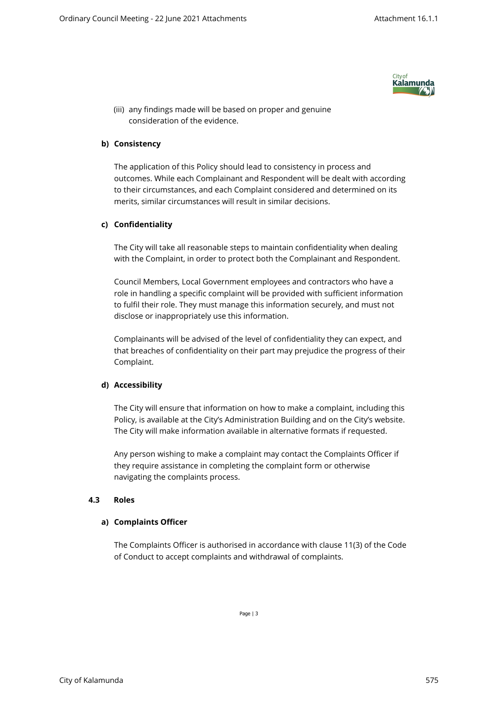

(iii) any findings made will be based on proper and genuine consideration of the evidence.

#### **b) Consistency**

The application of this Policy should lead to consistency in process and outcomes. While each Complainant and Respondent will be dealt with according to their circumstances, and each Complaint considered and determined on its merits, similar circumstances will result in similar decisions.

#### **c) Confidentiality**

The City will take all reasonable steps to maintain confidentiality when dealing with the Complaint, in order to protect both the Complainant and Respondent.

Council Members, Local Government employees and contractors who have a role in handling a specific complaint will be provided with sufficient information to fulfil their role. They must manage this information securely, and must not disclose or inappropriately use this information.

Complainants will be advised of the level of confidentiality they can expect, and that breaches of confidentiality on their part may prejudice the progress of their Complaint.

#### **d) Accessibility**

The City will ensure that information on how to make a complaint, including this Policy, is available at the City's Administration Building and on the City's website. The City will make information available in alternative formats if requested.

Any person wishing to make a complaint may contact the Complaints Officer if they require assistance in completing the complaint form or otherwise navigating the complaints process.

#### **4.3 Roles**

#### **a) Complaints Officer**

The Complaints Officer is authorised in accordance with clause 11(3) of the Code of Conduct to accept complaints and withdrawal of complaints.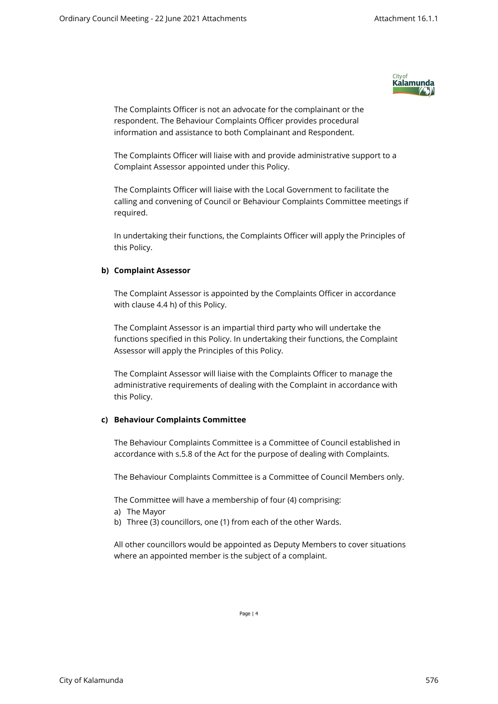

The Complaints Officer is not an advocate for the complainant or the respondent. The Behaviour Complaints Officer provides procedural information and assistance to both Complainant and Respondent.

The Complaints Officer will liaise with and provide administrative support to a Complaint Assessor appointed under this Policy.

The Complaints Officer will liaise with the Local Government to facilitate the calling and convening of Council or Behaviour Complaints Committee meetings if required.

In undertaking their functions, the Complaints Officer will apply the Principles of this Policy.

## **b) Complaint Assessor**

The Complaint Assessor is appointed by the Complaints Officer in accordance with clause 4.4 h) of this Policy.

The Complaint Assessor is an impartial third party who will undertake the functions specified in this Policy. In undertaking their functions, the Complaint Assessor will apply the Principles of this Policy.

The Complaint Assessor will liaise with the Complaints Officer to manage the administrative requirements of dealing with the Complaint in accordance with this Policy.

#### **c) Behaviour Complaints Committee**

The Behaviour Complaints Committee is a Committee of Council established in accordance with s.5.8 of the Act for the purpose of dealing with Complaints.

The Behaviour Complaints Committee is a Committee of Council Members only.

The Committee will have a membership of four (4) comprising:

- a) The Mayor
- b) Three (3) councillors, one (1) from each of the other Wards.

All other councillors would be appointed as Deputy Members to cover situations where an appointed member is the subject of a complaint.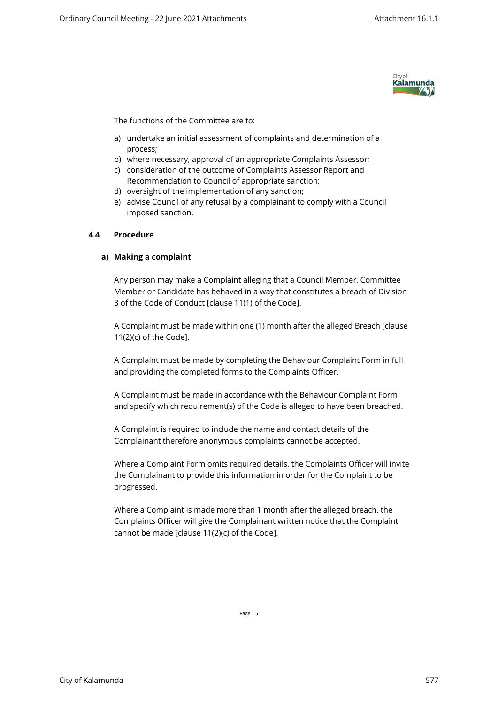

The functions of the Committee are to:

- a) undertake an initial assessment of complaints and determination of a process;
- b) where necessary, approval of an appropriate Complaints Assessor;
- c) consideration of the outcome of Complaints Assessor Report and Recommendation to Council of appropriate sanction;
- d) oversight of the implementation of any sanction;
- e) advise Council of any refusal by a complainant to comply with a Council imposed sanction.

#### **4.4 Procedure**

#### **a) Making a complaint**

Any person may make a Complaint alleging that a Council Member, Committee Member or Candidate has behaved in a way that constitutes a breach of Division 3 of the Code of Conduct [clause 11(1) of the Code].

A Complaint must be made within one (1) month after the alleged Breach [clause 11(2)(c) of the Code].

A Complaint must be made by completing the Behaviour Complaint Form in full and providing the completed forms to the Complaints Officer.

A Complaint must be made in accordance with the Behaviour Complaint Form and specify which requirement(s) of the Code is alleged to have been breached.

A Complaint is required to include the name and contact details of the Complainant therefore anonymous complaints cannot be accepted.

Where a Complaint Form omits required details, the Complaints Officer will invite the Complainant to provide this information in order for the Complaint to be progressed.

Where a Complaint is made more than 1 month after the alleged breach, the Complaints Officer will give the Complainant written notice that the Complaint cannot be made [clause 11(2)(c) of the Code].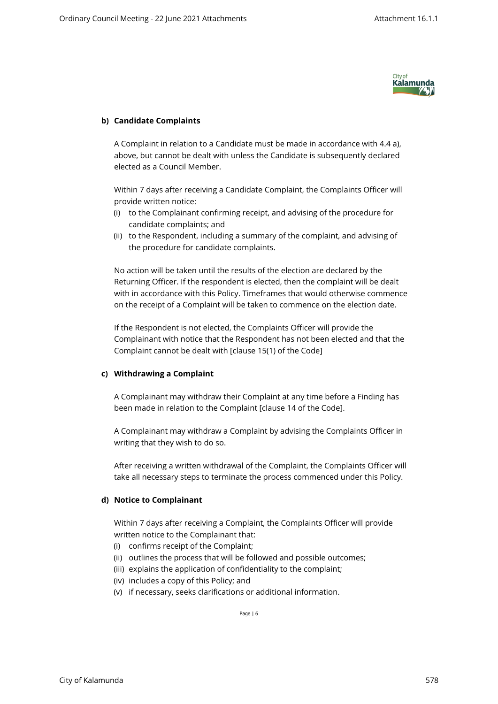

# **b) Candidate Complaints**

A Complaint in relation to a Candidate must be made in accordance with 4.4 a), above, but cannot be dealt with unless the Candidate is subsequently declared elected as a Council Member.

Within 7 days after receiving a Candidate Complaint, the Complaints Officer will provide written notice:

- (i) to the Complainant confirming receipt, and advising of the procedure for candidate complaints; and
- (ii) to the Respondent, including a summary of the complaint, and advising of the procedure for candidate complaints.

No action will be taken until the results of the election are declared by the Returning Officer. If the respondent is elected, then the complaint will be dealt with in accordance with this Policy. Timeframes that would otherwise commence on the receipt of a Complaint will be taken to commence on the election date.

If the Respondent is not elected, the Complaints Officer will provide the Complainant with notice that the Respondent has not been elected and that the Complaint cannot be dealt with [clause 15(1) of the Code]

## **c) Withdrawing a Complaint**

A Complainant may withdraw their Complaint at any time before a Finding has been made in relation to the Complaint [clause 14 of the Code].

A Complainant may withdraw a Complaint by advising the Complaints Officer in writing that they wish to do so.

After receiving a written withdrawal of the Complaint, the Complaints Officer will take all necessary steps to terminate the process commenced under this Policy.

## **d) Notice to Complainant**

Within 7 days after receiving a Complaint, the Complaints Officer will provide written notice to the Complainant that:

- (i) confirms receipt of the Complaint;
- (ii) outlines the process that will be followed and possible outcomes;
- (iii) explains the application of confidentiality to the complaint;
- (iv) includes a copy of this Policy; and
- (v) if necessary, seeks clarifications or additional information.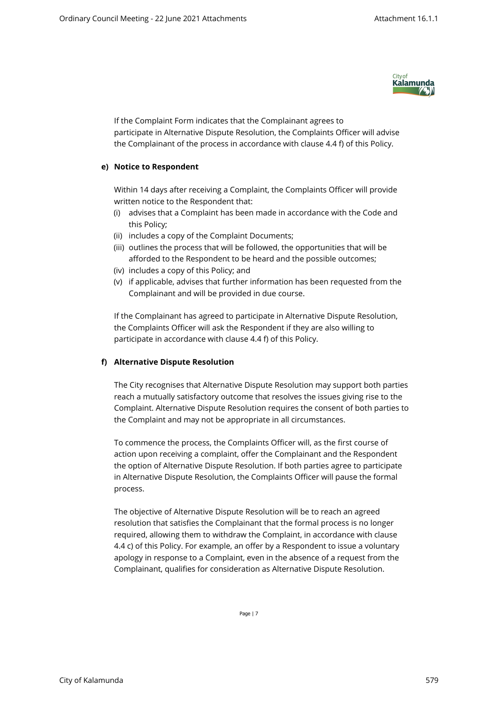

If the Complaint Form indicates that the Complainant agrees to participate in Alternative Dispute Resolution, the Complaints Officer will advise the Complainant of the process in accordance with clause 4.4 f) of this Policy.

#### **e) Notice to Respondent**

Within 14 days after receiving a Complaint, the Complaints Officer will provide written notice to the Respondent that:

- (i) advises that a Complaint has been made in accordance with the Code and this Policy;
- (ii) includes a copy of the Complaint Documents;
- (iii) outlines the process that will be followed, the opportunities that will be afforded to the Respondent to be heard and the possible outcomes;
- (iv) includes a copy of this Policy; and
- (v) if applicable, advises that further information has been requested from the Complainant and will be provided in due course.

If the Complainant has agreed to participate in Alternative Dispute Resolution, the Complaints Officer will ask the Respondent if they are also willing to participate in accordance with clause 4.4 f) of this Policy.

#### **f) Alternative Dispute Resolution**

The City recognises that Alternative Dispute Resolution may support both parties reach a mutually satisfactory outcome that resolves the issues giving rise to the Complaint. Alternative Dispute Resolution requires the consent of both parties to the Complaint and may not be appropriate in all circumstances.

To commence the process, the Complaints Officer will, as the first course of action upon receiving a complaint, offer the Complainant and the Respondent the option of Alternative Dispute Resolution. If both parties agree to participate in Alternative Dispute Resolution, the Complaints Officer will pause the formal process.

The objective of Alternative Dispute Resolution will be to reach an agreed resolution that satisfies the Complainant that the formal process is no longer required, allowing them to withdraw the Complaint, in accordance with clause 4.4 c) of this Policy. For example, an offer by a Respondent to issue a voluntary apology in response to a Complaint, even in the absence of a request from the Complainant, qualifies for consideration as Alternative Dispute Resolution.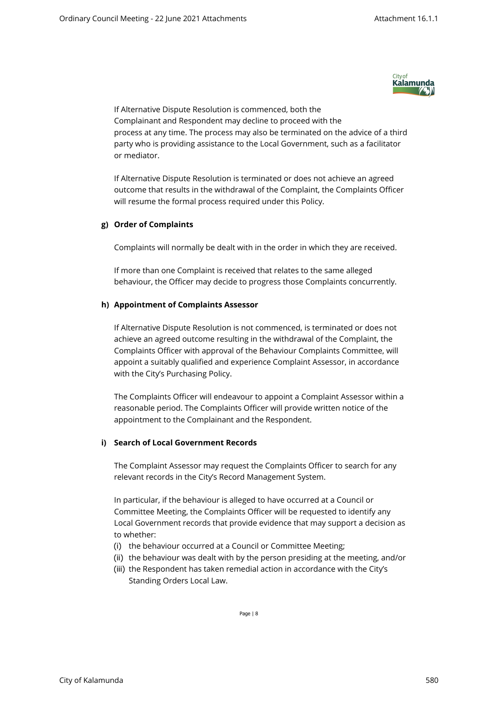

If Alternative Dispute Resolution is commenced, both the Complainant and Respondent may decline to proceed with the process at any time. The process may also be terminated on the advice of a third party who is providing assistance to the Local Government, such as a facilitator or mediator.

If Alternative Dispute Resolution is terminated or does not achieve an agreed outcome that results in the withdrawal of the Complaint, the Complaints Officer will resume the formal process required under this Policy.

## **g) Order of Complaints**

Complaints will normally be dealt with in the order in which they are received.

If more than one Complaint is received that relates to the same alleged behaviour, the Officer may decide to progress those Complaints concurrently.

## **h) Appointment of Complaints Assessor**

If Alternative Dispute Resolution is not commenced, is terminated or does not achieve an agreed outcome resulting in the withdrawal of the Complaint, the Complaints Officer with approval of the Behaviour Complaints Committee, will appoint a suitably qualified and experience Complaint Assessor, in accordance with the City's Purchasing Policy.

The Complaints Officer will endeavour to appoint a Complaint Assessor within a reasonable period. The Complaints Officer will provide written notice of the appointment to the Complainant and the Respondent.

## **i) Search of Local Government Records**

The Complaint Assessor may request the Complaints Officer to search for any relevant records in the City's Record Management System.

In particular, if the behaviour is alleged to have occurred at a Council or Committee Meeting, the Complaints Officer will be requested to identify any Local Government records that provide evidence that may support a decision as to whether:

- (i) the behaviour occurred at a Council or Committee Meeting;
- (ii) the behaviour was dealt with by the person presiding at the meeting, and/or
- (iii) the Respondent has taken remedial action in accordance with the City's Standing Orders Local Law.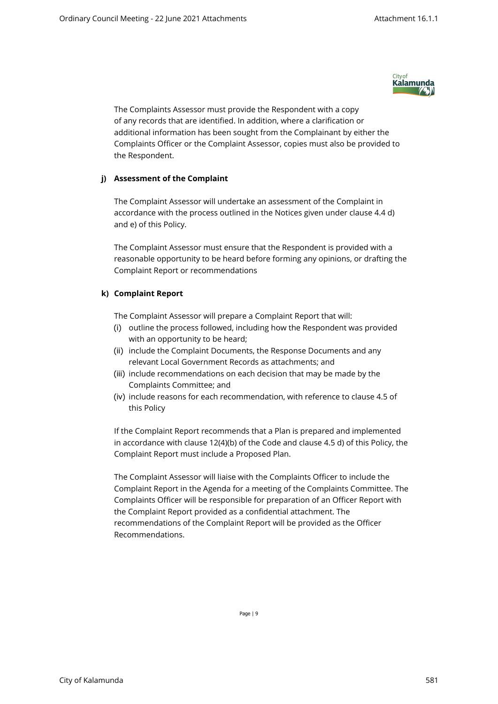

The Complaints Assessor must provide the Respondent with a copy of any records that are identified. In addition, where a clarification or additional information has been sought from the Complainant by either the Complaints Officer or the Complaint Assessor, copies must also be provided to the Respondent.

## **j) Assessment of the Complaint**

The Complaint Assessor will undertake an assessment of the Complaint in accordance with the process outlined in the Notices given under clause 4.4 d) and e) of this Policy.

The Complaint Assessor must ensure that the Respondent is provided with a reasonable opportunity to be heard before forming any opinions, or drafting the Complaint Report or recommendations

# **k) Complaint Report**

The Complaint Assessor will prepare a Complaint Report that will:

- (i) outline the process followed, including how the Respondent was provided with an opportunity to be heard;
- (ii) include the Complaint Documents, the Response Documents and any relevant Local Government Records as attachments; and
- (iii) include recommendations on each decision that may be made by the Complaints Committee; and
- (iv) include reasons for each recommendation, with reference to clause 4.5 of this Policy

If the Complaint Report recommends that a Plan is prepared and implemented in accordance with clause 12(4)(b) of the Code and clause 4.5 d) of this Policy, the Complaint Report must include a Proposed Plan.

The Complaint Assessor will liaise with the Complaints Officer to include the Complaint Report in the Agenda for a meeting of the Complaints Committee. The Complaints Officer will be responsible for preparation of an Officer Report with the Complaint Report provided as a confidential attachment. The recommendations of the Complaint Report will be provided as the Officer Recommendations.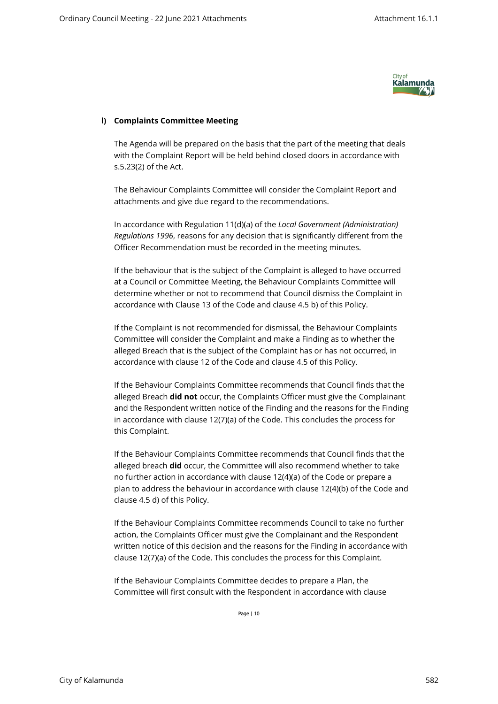

# **l) Complaints Committee Meeting**

The Agenda will be prepared on the basis that the part of the meeting that deals with the Complaint Report will be held behind closed doors in accordance with s.5.23(2) of the Act.

The Behaviour Complaints Committee will consider the Complaint Report and attachments and give due regard to the recommendations.

In accordance with Regulation 11(d)(a) of the *Local Government (Administration) Regulations 1996*, reasons for any decision that is significantly different from the Officer Recommendation must be recorded in the meeting minutes.

If the behaviour that is the subject of the Complaint is alleged to have occurred at a Council or Committee Meeting, the Behaviour Complaints Committee will determine whether or not to recommend that Council dismiss the Complaint in accordance with Clause 13 of the Code and clause 4.5 b) of this Policy.

If the Complaint is not recommended for dismissal, the Behaviour Complaints Committee will consider the Complaint and make a Finding as to whether the alleged Breach that is the subject of the Complaint has or has not occurred, in accordance with clause 12 of the Code and clause 4.5 of this Policy.

If the Behaviour Complaints Committee recommends that Council finds that the alleged Breach **did not** occur, the Complaints Officer must give the Complainant and the Respondent written notice of the Finding and the reasons for the Finding in accordance with clause 12(7)(a) of the Code. This concludes the process for this Complaint.

If the Behaviour Complaints Committee recommends that Council finds that the alleged breach **did** occur, the Committee will also recommend whether to take no further action in accordance with clause 12(4)(a) of the Code or prepare a plan to address the behaviour in accordance with clause 12(4)(b) of the Code and clause 4.5 d) of this Policy.

If the Behaviour Complaints Committee recommends Council to take no further action, the Complaints Officer must give the Complainant and the Respondent written notice of this decision and the reasons for the Finding in accordance with clause 12(7)(a) of the Code. This concludes the process for this Complaint.

If the Behaviour Complaints Committee decides to prepare a Plan, the Committee will first consult with the Respondent in accordance with clause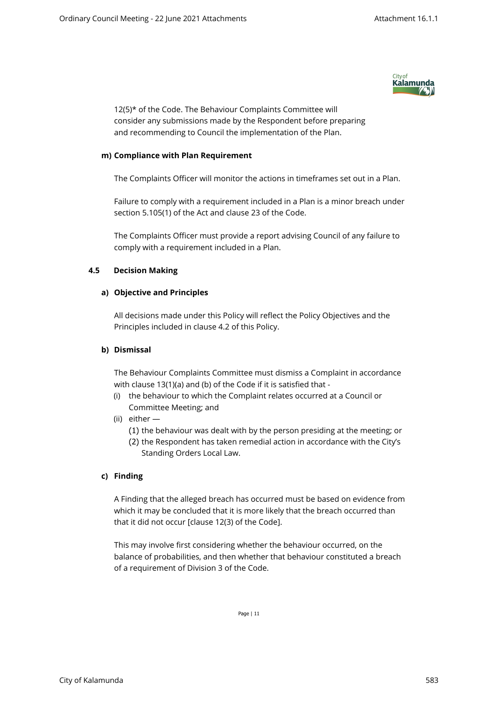

12(5)\* of the Code. The Behaviour Complaints Committee will consider any submissions made by the Respondent before preparing and recommending to Council the implementation of the Plan.

#### **m) Compliance with Plan Requirement**

The Complaints Officer will monitor the actions in timeframes set out in a Plan.

Failure to comply with a requirement included in a Plan is a minor breach under section 5.105(1) of the Act and clause 23 of the Code.

The Complaints Officer must provide a report advising Council of any failure to comply with a requirement included in a Plan.

#### **4.5 Decision Making**

#### **a) Objective and Principles**

All decisions made under this Policy will reflect the Policy Objectives and the Principles included in clause 4.2 of this Policy.

#### **b) Dismissal**

The Behaviour Complaints Committee must dismiss a Complaint in accordance with clause 13(1)(a) and (b) of the Code if it is satisfied that -

- (i) the behaviour to which the Complaint relates occurred at a Council or Committee Meeting; and
- (ii) either
	- (1) the behaviour was dealt with by the person presiding at the meeting; or
	- (2) the Respondent has taken remedial action in accordance with the City's Standing Orders Local Law.

## **c) Finding**

A Finding that the alleged breach has occurred must be based on evidence from which it may be concluded that it is more likely that the breach occurred than that it did not occur [clause 12(3) of the Code].

This may involve first considering whether the behaviour occurred, on the balance of probabilities, and then whether that behaviour constituted a breach of a requirement of Division 3 of the Code.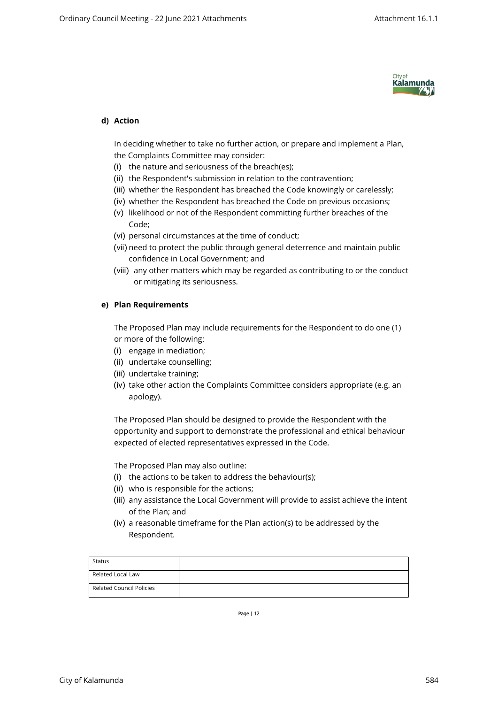

# **d) Action**

In deciding whether to take no further action, or prepare and implement a Plan, the Complaints Committee may consider:

- (i) the nature and seriousness of the breach(es);
- (ii) the Respondent's submission in relation to the contravention;
- (iii) whether the Respondent has breached the Code knowingly or carelessly;
- (iv) whether the Respondent has breached the Code on previous occasions;
- (v) likelihood or not of the Respondent committing further breaches of the Code;
- (vi) personal circumstances at the time of conduct;
- (vii) need to protect the public through general deterrence and maintain public confidence in Local Government; and
- (viii) any other matters which may be regarded as contributing to or the conduct or mitigating its seriousness.

#### **e) Plan Requirements**

The Proposed Plan may include requirements for the Respondent to do one (1) or more of the following:

- (i) engage in mediation;
- (ii) undertake counselling;
- (iii) undertake training;
- (iv) take other action the Complaints Committee considers appropriate (e.g. an apology).

The Proposed Plan should be designed to provide the Respondent with the opportunity and support to demonstrate the professional and ethical behaviour expected of elected representatives expressed in the Code.

The Proposed Plan may also outline:

- (i) the actions to be taken to address the behaviour(s);
- (ii) who is responsible for the actions;
- (iii) any assistance the Local Government will provide to assist achieve the intent of the Plan; and
- (iv) a reasonable timeframe for the Plan action(s) to be addressed by the Respondent.

| Status                   |  |
|--------------------------|--|
| Related Local Law        |  |
| Related Council Policies |  |